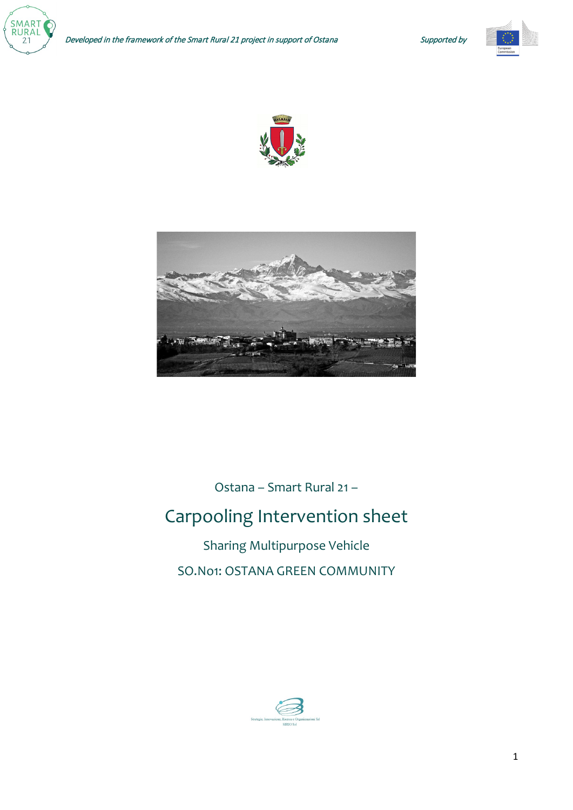







Ostana – Smart Rural 21 –

# Carpooling Intervention sheet

Sharing Multipurpose Vehicle SO.No1: OSTANA GREEN COMMUNITY

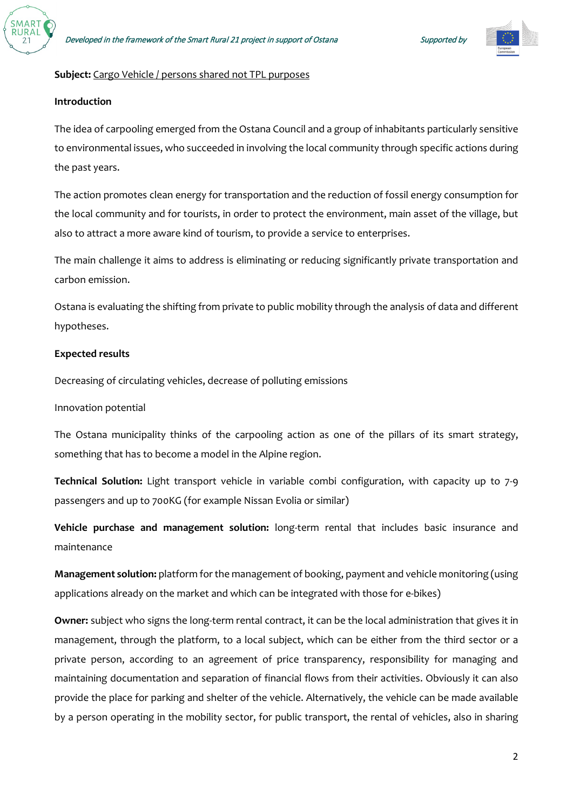



## **Subject:** Cargo Vehicle / persons shared not TPL purposes

# **Introduction**

The idea of carpooling emerged from the Ostana Council and a group of inhabitants particularly sensitive to environmental issues, who succeeded in involving the local community through specific actions during the past years.

The action promotes clean energy for transportation and the reduction of fossil energy consumption for the local community and for tourists, in order to protect the environment, main asset of the village, but also to attract a more aware kind of tourism, to provide a service to enterprises.

The main challenge it aims to address is eliminating or reducing significantly private transportation and carbon emission.

Ostana is evaluating the shifting from private to public mobility through the analysis of data and different hypotheses.

#### **Expected results**

Decreasing of circulating vehicles, decrease of polluting emissions

#### Innovation potential

The Ostana municipality thinks of the carpooling action as one of the pillars of its smart strategy, something that has to become a model in the Alpine region.

**Technical Solution:** Light transport vehicle in variable combi configuration, with capacity up to 7-9 passengers and up to 700KG (for example Nissan Evolia or similar)

**Vehicle purchase and management solution:** long-term rental that includes basic insurance and maintenance

**Management solution:** platform for the management of booking, payment and vehicle monitoring (using applications already on the market and which can be integrated with those for e-bikes)

**Owner:** subject who signs the long-term rental contract, it can be the local administration that gives it in management, through the platform, to a local subject, which can be either from the third sector or a private person, according to an agreement of price transparency, responsibility for managing and maintaining documentation and separation of financial flows from their activities. Obviously it can also provide the place for parking and shelter of the vehicle. Alternatively, the vehicle can be made available by a person operating in the mobility sector, for public transport, the rental of vehicles, also in sharing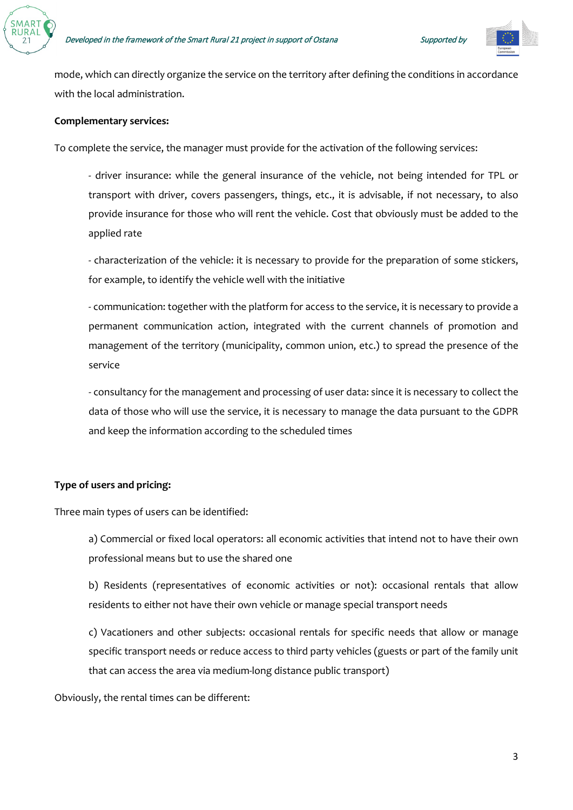

mode, which can directly organize the service on the territory after defining the conditions in accordance with the local administration.

# **Complementary services:**

To complete the service, the manager must provide for the activation of the following services:

- driver insurance: while the general insurance of the vehicle, not being intended for TPL or transport with driver, covers passengers, things, etc., it is advisable, if not necessary, to also provide insurance for those who will rent the vehicle. Cost that obviously must be added to the applied rate

- characterization of the vehicle: it is necessary to provide for the preparation of some stickers, for example, to identify the vehicle well with the initiative

- communication: together with the platform for access to the service, it is necessary to provide a permanent communication action, integrated with the current channels of promotion and management of the territory (municipality, common union, etc.) to spread the presence of the service

- consultancy for the management and processing of user data: since it is necessary to collect the data of those who will use the service, it is necessary to manage the data pursuant to the GDPR and keep the information according to the scheduled times

# **Type of users and pricing:**

Three main types of users can be identified:

a) Commercial or fixed local operators: all economic activities that intend not to have their own professional means but to use the shared one

b) Residents (representatives of economic activities or not): occasional rentals that allow residents to either not have their own vehicle or manage special transport needs

c) Vacationers and other subjects: occasional rentals for specific needs that allow or manage specific transport needs or reduce access to third party vehicles (guests or part of the family unit that can access the area via medium-long distance public transport)

Obviously, the rental times can be different: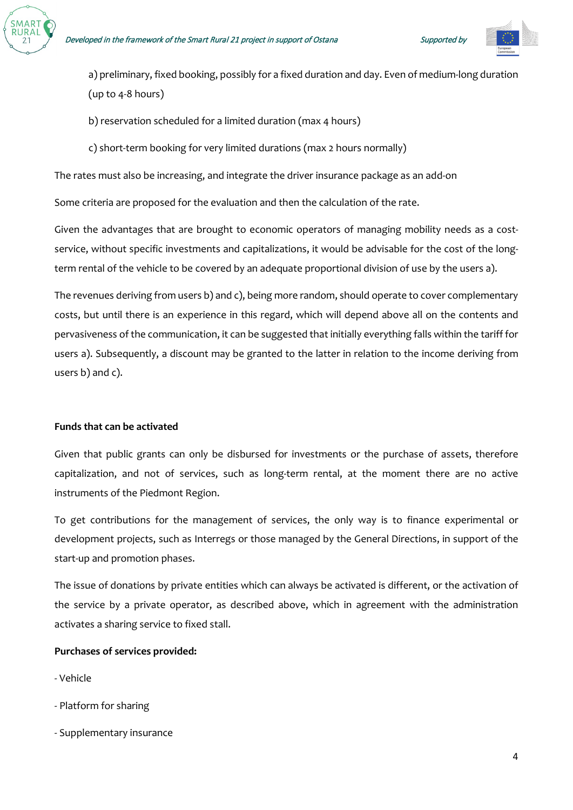



a) preliminary, fixed booking, possibly for a fixed duration and day. Even of medium-long duration (up to 4-8 hours)

b) reservation scheduled for a limited duration (max 4 hours)

c) short-term booking for very limited durations (max 2 hours normally)

The rates must also be increasing, and integrate the driver insurance package as an add-on

Some criteria are proposed for the evaluation and then the calculation of the rate.

Given the advantages that are brought to economic operators of managing mobility needs as a costservice, without specific investments and capitalizations, it would be advisable for the cost of the longterm rental of the vehicle to be covered by an adequate proportional division of use by the users a).

The revenues deriving from users b) and c), being more random, should operate to cover complementary costs, but until there is an experience in this regard, which will depend above all on the contents and pervasiveness of the communication, it can be suggested that initially everything falls within the tariff for users a). Subsequently, a discount may be granted to the latter in relation to the income deriving from users b) and c).

## **Funds that can be activated**

Given that public grants can only be disbursed for investments or the purchase of assets, therefore capitalization, and not of services, such as long-term rental, at the moment there are no active instruments of the Piedmont Region.

To get contributions for the management of services, the only way is to finance experimental or development projects, such as Interregs or those managed by the General Directions, in support of the start-up and promotion phases.

The issue of donations by private entities which can always be activated is different, or the activation of the service by a private operator, as described above, which in agreement with the administration activates a sharing service to fixed stall.

## **Purchases of services provided:**

- Vehicle
- Platform for sharing
- Supplementary insurance